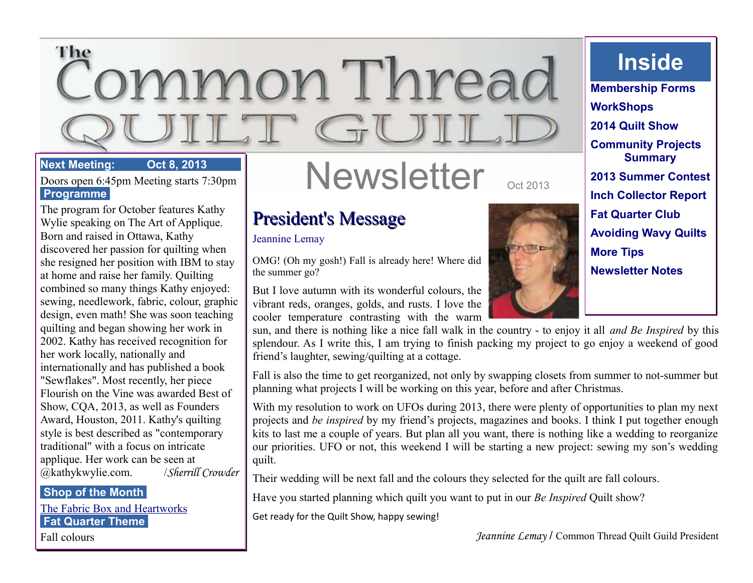# The ommon Threac  $\overline{\phantom{0}}$

#### **Next Meeting: Oct 8, 2013**

Doors open 6:45pm Meeting starts 7:30pm  **Programme** 

The program for October features Kathy Wylie speaking on The Art of Applique. Born and raised in Ottawa, Kathy discovered her passion for quilting when she resigned her position with IBM to stay at home and raise her family. Quilting combined so many things Kathy enjoyed: sewing, needlework, fabric, colour, graphic design, even math! She was soon teaching quilting and began showing her work in 2002. Kathy has received recognition for her work locally, nationally and internationally and has published a book "Sewflakes". Most recently, her piece Flourish on the Vine was awarded Best of Show, CQA, 2013, as well as Founders Award, Houston, 2011. Kathy's quilting style is best described as "contemporary traditional" with a focus on intricate applique. Her work can be seen at @kathykwylie.com. /*Sherrill Crowder*

#### **Shop of the Month**

[The Fabric Box and Heartworks](http://www.fabric-box.com/)  **Fat Quarter Theme** 

Fall colours

# Newsletter

# President's Message

#### Jeannine Lemay

OMG! (Oh my gosh!) Fall is already here! Where did the summer go?

But I love autumn with its wonderful colours, the vibrant reds, oranges, golds, and rusts. I love the cooler temperature contrasting with the warm

sun, and there is nothing like a nice fall walk in the country - to enjoy it all *and Be Inspired* by this splendour. As I write this, I am trying to finish packing my project to go enjoy a weekend of good friend's laughter, sewing/quilting at a cottage.

Fall is also the time to get reorganized, not only by swapping closets from summer to not-summer but planning what projects I will be working on this year, before and after Christmas.

With my resolution to work on UFOs during 2013, there were plenty of opportunities to plan my next projects and *be inspired* by my friend's projects, magazines and books. I think I put together enough kits to last me a couple of years. But plan all you want, there is nothing like a wedding to reorganize our priorities. UFO or not, this weekend I will be starting a new project: sewing my son's wedding quilt.

Their wedding will be next fall and the colours they selected for the quilt are fall colours.

Have you started planning which quilt you want to put in our *Be Inspired* Quilt show?

Get ready for the Quilt Show, happy sewing!





**Inside**

**Membership Forms WorkShops 2014 Quilt Show Community Projects Summary 2013 Summer Contest Inch Collector Report Fat Quarter Club Avoiding Wavy Quilts More Tips Newsletter Notes**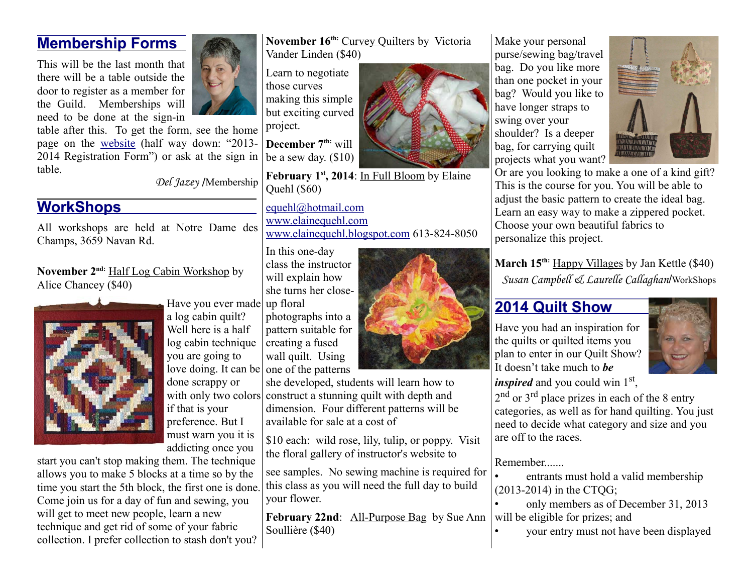#### **Membership Forms**

This will be the last month that there will be a table outside the door to register as a member for the Guild. Memberships will need to be done at the sign-in

table after this. To get the form, see the home page on the [website](http://www.commonthread.on.ca/index.html) (half way down: "2013- 2014 Registration Form") or ask at the sign in | be a sew day.  $(\$10)$ table.

*Del Jazey* /Membership

## **WorkShops**

All workshops are held at Notre Dame des Champs, 3659 Navan Rd.

**November 2nd:** Half Log Cabin Workshop by Alice Chancey (\$40)



Have you ever made up floral a log cabin quilt? Well here is a half log cabin technique you are going to love doing. It can be

done scrappy or if that is your preference. But I must warn you it is addicting once you

start you can't stop making them. The technique allows you to make 5 blocks at a time so by the time you start the 5th block, the first one is done. Come join us for a day of fun and sewing, you will get to meet new people, learn a new technique and get rid of some of your fabric collection. I prefer collection to stash don't you? **November 16th:** Curvey Quilters by Victoria Vander Linden (\$40)

Learn to negotiate those curves making this simple but exciting curved project.

**December 7th:** will

February 1<sup>st</sup>, 2014: In Full Bloom by Elaine Quehl (\$60)

[equehl@hotmail.com](mailto:equehl@hotmail.com) [www.elainequehl.com](http://www.elainequehl.com/)  [www.elainequehl.blogspot.com](http://www.elainequehl.blogspot.com/) 613-824-8050

In this one-day class the instructor will explain how she turns her close-

photographs into a pattern suitable for creating a fused wall quilt. Using one of the patterns

with only two colors construct a stunning quilt with depth and she developed, students will learn how to dimension. Four different patterns will be available for sale at a cost of

> \$10 each: wild rose, lily, tulip, or poppy. Visit the floral gallery of instructor's website to

see samples. No sewing machine is required for this class as you will need the full day to build your flower.

February 22nd: All-Purpose Bag by Sue Ann Soullière (\$40)



Make your personal purse/sewing bag/travel bag. Do you like more than one pocket in your bag? Would you like to have longer straps to swing over your shoulder? Is a deeper bag, for carrying quilt projects what you want?



Or are you looking to make a one of a kind gift? This is the course for you. You will be able to adjust the basic pattern to create the ideal bag. Learn an easy way to make a zippered pocket. Choose your own beautiful fabrics to personalize this project.

**March 15th:** Happy Villages by Jan Kettle (\$40) *Susan Campbell & Laurelle Callaghan*/WorkShops

### **2014 Quilt Show**

Have you had an inspiration for the quilts or quilted items you plan to enter in our Quilt Show? It doesn't take much to *be*



*inspired* and you could win 1<sup>st</sup>,

2<sup>nd</sup> or 3<sup>rd</sup> place prizes in each of the 8 entry categories, as well as for hand quilting. You just need to decide what category and size and you are off to the races.

Remember

• entrants must hold a valid membership (2013-2014) in the CTQG;

• only members as of December 31, 2013 will be eligible for prizes; and

• your entry must not have been displayed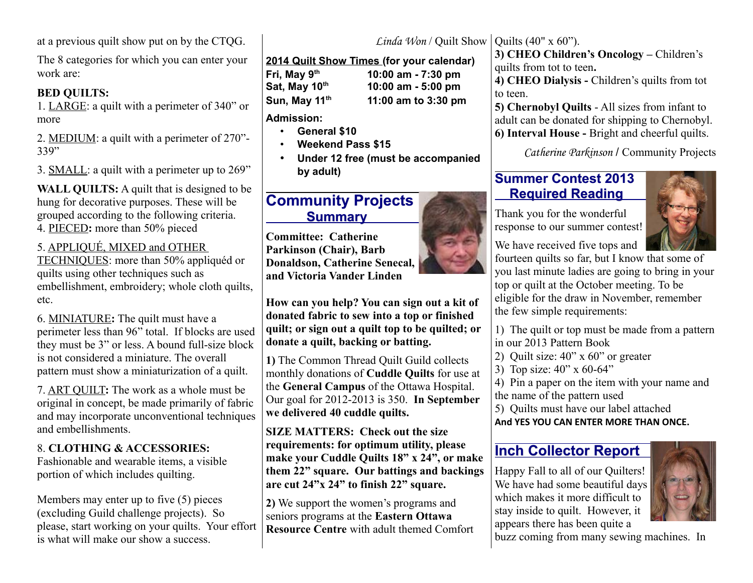at a previous quilt show put on by the CTQG.

The 8 categories for which you can enter your work are:

#### **BED QUILTS:**

1. LARGE: a quilt with a perimeter of 340" or more

2. MEDIUM: a quilt with a perimeter of 270"- 339"

3. SMALL: a quilt with a perimeter up to 269"

**WALL QUILTS:** A quilt that is designed to be hung for decorative purposes. These will be grouped according to the following criteria. 4. PIECED**:** more than 50% pieced

#### 5. APPLIQUÉ, MIXED and OTHER

TECHNIQUES: more than 50% appliquéd or quilts using other techniques such as embellishment, embroidery; whole cloth quilts, etc.

6. MINIATURE**:** The quilt must have a perimeter less than 96" total. If blocks are used they must be 3" or less. A bound full-size block is not considered a miniature. The overall pattern must show a miniaturization of a quilt.

7. ART QUILT**:** The work as a whole must be original in concept, be made primarily of fabric and may incorporate unconventional techniques and embellishments.

#### 8. **CLOTHING & ACCESSORIES:**

Fashionable and wearable items, a visible portion of which includes quilting.

Members may enter up to five (5) pieces (excluding Guild challenge projects). So please, start working on your quilts. Your effort is what will make our show a success.

**2014 Quilt Show Times (for your calendar) Fri, May 9th 10:00 am - 7:30 pm Sat, May 10th 10:00 am - 5:00 pm Sun, May 11th 11:00 am to 3:30 pm**

**Admission:**

- **General \$10**
- **Weekend Pass \$15**
- **Under 12 free (must be accompanied by adult)**

### **Community Projects Summary**

**Committee: Catherine Parkinson (Chair), Barb Donaldson, Catherine Senecal, and Victoria Vander Linden**

**How can you help? You can sign out a kit of donated fabric to sew into a top or finished quilt; or sign out a quilt top to be quilted; or donate a quilt, backing or batting.**

**1)** The Common Thread Quilt Guild collects monthly donations of **Cuddle Quilts** for use at the **General Campus** of the Ottawa Hospital. Our goal for 2012-2013 is 350. **In September we delivered 40 cuddle quilts.**

**SIZE MATTERS: Check out the size requirements: for optimum utility, please make your Cuddle Quilts 18" x 24", or make them 22" square. Our battings and backings are cut 24"x 24" to finish 22" square.** 

**2)** We support the women's programs and seniors programs at the **Eastern Ottawa Resource Centre** with adult themed Comfort

*Linda Won* / Quilt Show | Quilts  $(40" \times 60")$ . **3) CHEO Children's Oncology –** Children's

quilts from tot to teen**.**

**4) CHEO Dialysis -** Children's quilts from tot to teen.

**5) Chernobyl Quilts** - All sizes from infant to adult can be donated for shipping to Chernobyl. **6) Interval House -** Bright and cheerful quilts.

*Catherine Parkinson* / Community Projects

#### **Summer Contest 2013 Required Reading**

Thank you for the wonderful response to our summer contest!



We have received five tops and

fourteen quilts so far, but I know that some of you last minute ladies are going to bring in your top or quilt at the October meeting. To be eligible for the draw in November, remember the few simple requirements:

1) The quilt or top must be made from a pattern in our 2013 Pattern Book

2) Quilt size: 40" x 60" or greater

3) Top size: 40" x 60-64"

4) Pin a paper on the item with your name and the name of the pattern used

5) Quilts must have our label attached

**And YES YOU CAN ENTER MORE THAN ONCE.**

#### **Inch Collector Report**

Happy Fall to all of our Quilters! We have had some beautiful days which makes it more difficult to stay inside to quilt. However, it appears there has been quite a



buzz coming from many sewing machines. In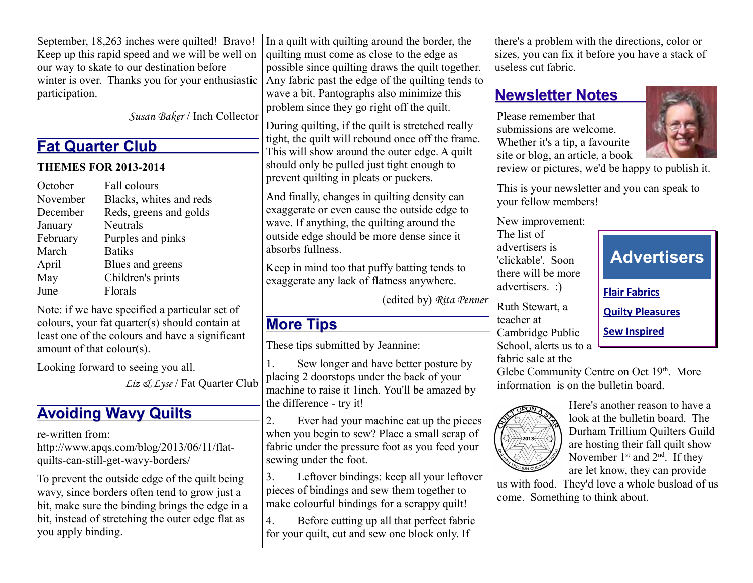September, 18,263 inches were quilted! Bravo! Keep up this rapid speed and we will be well on our way to skate to our destination before winter is over. Thanks you for your enthusiastic participation.

*Susan Baker* / Inch Collector

# **Fat Quarter Club**

#### **THEMES FOR 2013-2014**

| October<br>November | Fall colours<br>Blacks, whites and reds |
|---------------------|-----------------------------------------|
| December            | Reds, greens and golds                  |
| January             | Neutrals                                |
| February            | Purples and pinks                       |
| March               | <b>Batiks</b>                           |
| April               | Blues and greens                        |
| May                 | Children's prints                       |
| June                | Florals                                 |

Note: if we have specified a particular set of colours, your fat quarter(s) should contain at least one of the colours and have a significant amount of that colour(s).

Looking forward to seeing you all.

*Liz & Lyse* / Fat Quarter Club

# **Avoiding Wavy Quilts**

re-written from:

http://www.apqs.com/blog/2013/06/11/flatquilts-can-still-get-wavy-borders/

To prevent the outside edge of the quilt being wavy, since borders often tend to grow just a bit, make sure the binding brings the edge in a bit, instead of stretching the outer edge flat as you apply binding.

In a quilt with quilting around the border, the quilting must come as close to the edge as possible since quilting draws the quilt together. Any fabric past the edge of the quilting tends to wave a bit. Pantographs also minimize this problem since they go right off the quilt.

During quilting, if the quilt is stretched really tight, the quilt will rebound once off the frame. This will show around the outer edge. A quilt should only be pulled just tight enough to prevent quilting in pleats or puckers.

And finally, changes in quilting density can exaggerate or even cause the outside edge to wave. If anything, the quilting around the outside edge should be more dense since it absorbs fullness.

Keep in mind too that puffy batting tends to exaggerate any lack of flatness anywhere.

(edited by) *Rita Penner*

# **More Tips**

These tips submitted by Jeannine:

1. Sew longer and have better posture by placing 2 doorstops under the back of your machine to raise it 1inch. You'll be amazed by the difference - try it!

2. Ever had your machine eat up the pieces when you begin to sew? Place a small scrap of fabric under the pressure foot as you feed your sewing under the foot.

3. Leftover bindings: keep all your leftover pieces of bindings and sew them together to make colourful bindings for a scrappy quilt!

4. Before cutting up all that perfect fabric for your quilt, cut and sew one block only. If

there's a problem with the directions, color or sizes, you can fix it before you have a stack of useless cut fabric.

# **Newsletter Notes**

Please remember that submissions are welcome. Whether it's a tip, a favourite site or blog, an article, a book



review or pictures, we'd be happy to publish it.

This is your newsletter and you can speak to your fellow members!

New improvement:

The list of advertisers is 'clickable'. Soon there will be more advertisers. :)

Ruth Stewart, a teacher at Cambridge Public School, alerts us to a fabric sale at the

**Advertisers [Flair Fabrics](http://flarefabrics.ca/) [Quilty Pleasures](http://www.quiltypleasures.ca/) [Sew Inspired](http://sewinspired.ca/)**

Glebe Community Centre on Oct 19th. More information is on the bulletin board.



Here's another reason to have a look at the bulletin board. The Durham Trillium Quilters Guild are hosting their fall quilt show November  $1<sup>st</sup>$  and  $2<sup>nd</sup>$ . If they are let know, they can provide

us with food. They'd love a whole busload of us come. Something to think about.